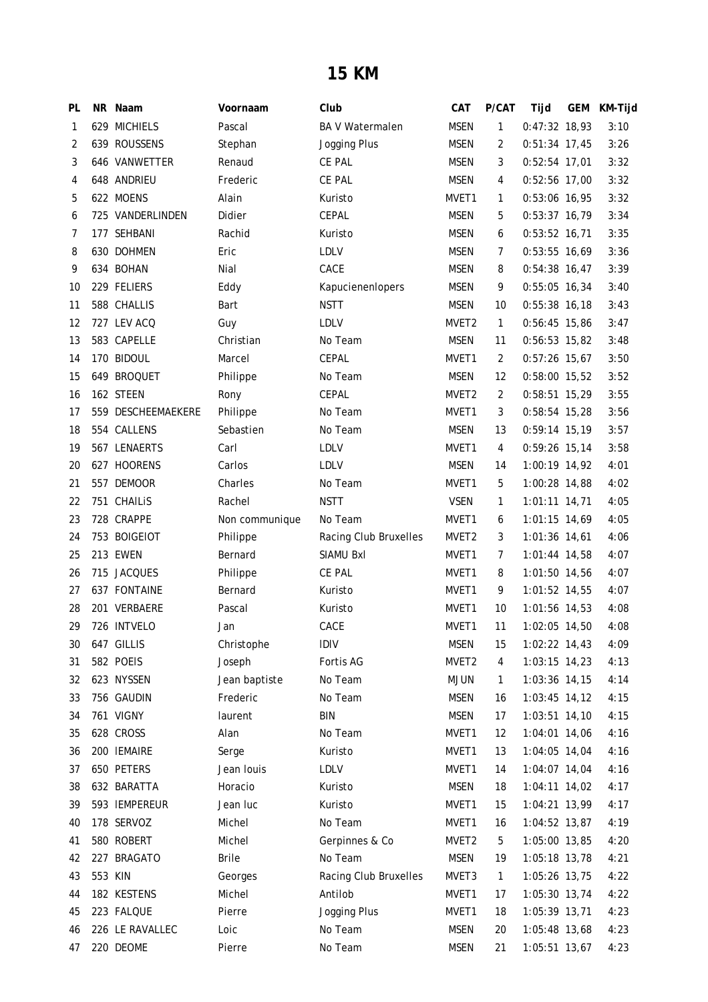## **15 KM**

| PL           |         | NR Naam            | Voornaam       | Club                   | CAT               | P/CAT        | Tijd            | GEM | KM-Tijd |
|--------------|---------|--------------------|----------------|------------------------|-------------------|--------------|-----------------|-----|---------|
| $\mathbf{1}$ |         | 629 MICHIELS       | Pascal         | <b>BA V Watermalen</b> | <b>MSEN</b>       | 1            | 0:47:32 18,93   |     | 3:10    |
| 2            |         | 639 ROUSSENS       | Stephan        | Jogging Plus           | <b>MSEN</b>       | 2            | $0:51:34$ 17,45 |     | 3:26    |
| 3            |         | 646 VANWETTER      | Renaud         | CE PAL                 | <b>MSEN</b>       | 3            | $0:52:54$ 17,01 |     | 3:32    |
| 4            |         | 648 ANDRIEU        | Frederic       | CE PAL                 | <b>MSEN</b>       | 4            | 0:52:56 17,00   |     | 3:32    |
| 5            |         | 622 MOENS          | Alain          | Kuristo                | MVET1             | $\mathbf{1}$ | 0:53:06 16,95   |     | 3:32    |
| 6            |         | 725 VANDERLINDEN   | Didier         | CEPAL                  | MSEN              | 5            | 0:53:37 16,79   |     | 3:34    |
| 7            |         | 177 SEHBANI        | Rachid         | Kuristo                | MSEN              | 6            | $0:53:52$ 16,71 |     | 3:35    |
| 8            |         | 630 DOHMEN         | Eric           | <b>LDLV</b>            | MSEN              | 7            | $0:53:55$ 16,69 |     | 3:36    |
| 9            |         | 634 BOHAN          | Nial           | CACE                   | MSEN              | 8            | $0:54:38$ 16,47 |     | 3:39    |
| 10           |         | 229 FELIERS        | Eddy           | Kapucienenlopers       | MSEN              | 9            | $0:55:05$ 16,34 |     | 3:40    |
| 11           |         | 588 CHALLIS        | Bart           | <b>NSTT</b>            | <b>MSEN</b>       | 10           | $0:55:38$ 16,18 |     | 3:43    |
| 12           |         | 727 LEV ACQ        | Guy            | <b>LDLV</b>            | MVET2             | $\mathbf{1}$ | $0:56:45$ 15,86 |     | 3:47    |
| 13           |         | 583 CAPELLE        | Christian      | No Team                | <b>MSEN</b>       | 11           | 0:56:53 15,82   |     | 3:48    |
| 14           |         | 170 BIDOUL         | Marcel         | CEPAL                  | MVET1             | 2            | $0:57:26$ 15,67 |     | 3:50    |
| 15           |         | 649 BROQUET        | Philippe       | No Team                | <b>MSEN</b>       | 12           | 0:58:00 15,52   |     | 3:52    |
| 16           |         | 162 STEEN          | Rony           | CEPAL                  | MVET <sub>2</sub> | 2            | $0:58:51$ 15,29 |     | 3:55    |
| 17           |         | 559 DESCHEEMAEKERE | Philippe       | No Team                | MVET1             | 3            | $0:58:54$ 15,28 |     | 3:56    |
| 18           |         | 554 CALLENS        | Sebastien      | No Team                | <b>MSEN</b>       | 13           | $0:59:14$ 15,19 |     | 3:57    |
| 19           |         | 567 LENAERTS       | Carl           | <b>LDLV</b>            | MVET1             | 4            | $0:59:26$ 15,14 |     | 3:58    |
| 20           |         | 627 HOORENS        | Carlos         | LDLV                   | <b>MSEN</b>       | 14           | 1:00:19 14,92   |     | 4:01    |
| 21           |         | 557 DEMOOR         | Charles        | No Team                | MVET1             | 5            | 1:00:28 14,88   |     | 4:02    |
| 22           |         | 751 CHAILIS        | Rachel         | <b>NSTT</b>            | <b>VSEN</b>       | $\mathbf{1}$ | $1:01:11$ 14,71 |     | 4:05    |
| 23           |         | 728 CRAPPE         | Non communique | No Team                | MVET <sub>1</sub> | 6            | $1:01:15$ 14,69 |     | 4:05    |
| 24           |         | 753 BOIGEIOT       | Philippe       | Racing Club Bruxelles  | MVET <sub>2</sub> | 3            | $1:01:36$ 14,61 |     | 4:06    |
| 25           |         | 213 EWEN           | Bernard        | SIAMU BxI              | MVET <sub>1</sub> | 7            | $1:01:44$ 14,58 |     | 4:07    |
| 26           |         | 715 JACQUES        | Philippe       | CE PAL                 | MVET1             | 8            | 1:01:50 14,56   |     | 4:07    |
| 27           |         | 637 FONTAINE       | Bernard        | Kuristo                | MVET1             | 9            | 1:01:52 14,55   |     | 4:07    |
| 28           |         | 201 VERBAERE       | Pascal         | Kuristo                | MVET1             | 10           | $1:01:56$ 14,53 |     | 4:08    |
| 29           |         | 726 INTVELO        | Jan            | CACE                   | MVET1             | 11           | 1:02:05 14,50   |     | 4:08    |
| 30           |         | 647 GILLIS         | Christophe     | <b>IDIV</b>            | <b>MSEN</b>       | 15           | 1:02:22 14,43   |     | 4:09    |
| 31           |         | 582 POEIS          | Joseph         | Fortis AG              | MVET <sub>2</sub> | 4            | $1:03:15$ 14,23 |     | 4:13    |
| 32           |         | 623 NYSSEN         | Jean baptiste  | No Team                | <b>MJUN</b>       | $\mathbf{1}$ | 1:03:36 14,15   |     | 4:14    |
| 33           |         | 756 GAUDIN         | Frederic       | No Team                | MSEN              | 16           | 1:03:45 14,12   |     | 4:15    |
| 34           |         | 761 VIGNY          | laurent        | <b>BIN</b>             | <b>MSEN</b>       | 17           | 1:03:51 14,10   |     | 4:15    |
| 35           |         | 628 CROSS          | Alan           | No Team                | MVET1             | 12           | 1:04:01 14,06   |     | 4:16    |
| 36           |         | 200 IEMAIRE        | Serge          | Kuristo                | MVET1             | 13           | 1:04:05 14,04   |     | 4:16    |
| 37           |         | 650 PETERS         | Jean louis     | LDLV                   | MVET1             | 14           | 1:04:07 14,04   |     | 4:16    |
| 38           |         | 632 BARATTA        | Horacio        | Kuristo                | <b>MSEN</b>       | 18           | 1:04:11 14,02   |     | 4:17    |
| 39           |         | 593 IEMPEREUR      | Jean luc       | Kuristo                | MVET1             | 15           | 1:04:21 13,99   |     | 4:17    |
| 40           |         | 178 SERVOZ         | Michel         | No Team                | MVET1             | 16           | 1:04:52 13,87   |     | 4:19    |
| 41           |         | 580 ROBERT         | Michel         | Gerpinnes & Co         | MVET <sub>2</sub> | 5            | 1:05:00 13,85   |     | 4:20    |
| 42           |         | 227 BRAGATO        | <b>Brile</b>   | No Team                | <b>MSEN</b>       | 19           | 1:05:18 13,78   |     | 4:21    |
| 43           | 553 KIN |                    | Georges        | Racing Club Bruxelles  | MVET3             | $\mathbf{1}$ | 1:05:26 13,75   |     | 4:22    |
| 44           |         | 182 KESTENS        | Michel         | Antilob                | MVET1             | 17           | 1:05:30 13,74   |     | 4:22    |
| 45           |         | 223 FALQUE         | Pierre         | Jogging Plus           | MVET1             | 18           | 1:05:39 13,71   |     | 4:23    |
| 46           |         | 226 LE RAVALLEC    | Loic           | No Team                | MSEN              | 20           | 1:05:48 13,68   |     | 4:23    |
| 47           |         | 220 DEOME          | Pierre         | No Team                | <b>MSEN</b>       | 21           | 1:05:51 13,67   |     | 4:23    |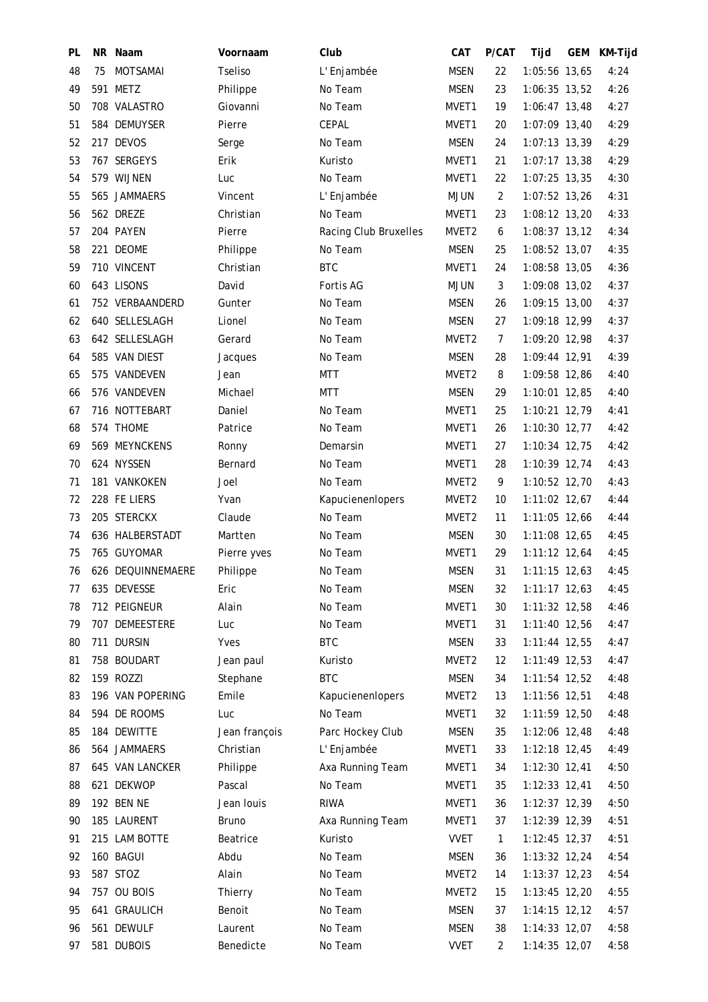| PL | NR. | Naam              | Voornaam       | Club                  | CAT               | P/CAT          | Tijd            | GEM | KM-Tijd |
|----|-----|-------------------|----------------|-----------------------|-------------------|----------------|-----------------|-----|---------|
| 48 | 75  | MOTSAMAI          | <b>Tseliso</b> | L'Enjambée            | <b>MSEN</b>       | 22             | 1:05:56 13,65   |     | 4:24    |
| 49 |     | 591 METZ          | Philippe       | No Team               | <b>MSEN</b>       | 23             | 1:06:35 13,52   |     | 4:26    |
| 50 |     | 708 VALASTRO      | Giovanni       | No Team               | MVET1             | 19             | 1:06:47 13,48   |     | 4:27    |
| 51 |     | 584 DEMUYSER      | Pierre         | CEPAL                 | MVET1             | 20             | 1:07:09 13,40   |     | 4:29    |
| 52 |     | 217 DEVOS         | Serge          | No Team               | <b>MSEN</b>       | 24             | 1:07:13 13,39   |     | 4:29    |
| 53 |     | 767 SERGEYS       | Erik           | Kuristo               | MVET1             | 21             | $1:07:17$ 13,38 |     | 4:29    |
| 54 |     | 579 WIJNEN        | Luc            | No Team               | MVET1             | 22             | 1:07:25 13,35   |     | 4:30    |
| 55 |     | 565 JAMMAERS      | Vincent        | L'Enjambée            | <b>MJUN</b>       | $\overline{2}$ | 1:07:52 13,26   |     | 4:31    |
| 56 |     | 562 DREZE         | Christian      | No Team               | MVET1             | 23             | 1:08:12 13,20   |     | 4:33    |
| 57 |     | 204 PAYEN         | Pierre         | Racing Club Bruxelles | MVET <sub>2</sub> | 6              | $1:08:37$ 13,12 |     | 4:34    |
| 58 |     | 221 DEOME         | Philippe       | No Team               | MSEN              | 25             | 1:08:52 13,07   |     | 4:35    |
| 59 |     | 710 VINCENT       | Christian      | <b>BTC</b>            | MVET1             | 24             | 1:08:58 13,05   |     | 4:36    |
| 60 |     | 643 LISONS        | David          | Fortis AG             | <b>MJUN</b>       | 3              | 1:09:08 13,02   |     | 4:37    |
| 61 |     | 752 VERBAANDERD   | Gunter         | No Team               | <b>MSEN</b>       | 26             | 1:09:15 13,00   |     | 4:37    |
| 62 |     | 640 SELLESLAGH    | Lionel         | No Team               | <b>MSEN</b>       | 27             | 1:09:18 12,99   |     | 4:37    |
| 63 |     | 642 SELLESLAGH    | Gerard         | No Team               | MVET <sub>2</sub> | $\overline{7}$ | 1:09:20 12,98   |     | 4:37    |
| 64 |     | 585 VAN DIEST     | Jacques        | No Team               | <b>MSEN</b>       | 28             | 1:09:44 12,91   |     | 4:39    |
| 65 |     | 575 VANDEVEN      | Jean           | MTT                   | MVET <sub>2</sub> | 8              | 1:09:58 12,86   |     | 4:40    |
| 66 |     | 576 VANDEVEN      | Michael        | MTT                   | <b>MSEN</b>       | 29             | 1:10:01 12,85   |     | 4:40    |
| 67 |     | 716 NOTTEBART     | Daniel         | No Team               | MVET1             | 25             | 1:10:21 12,79   |     | 4:41    |
| 68 |     | 574 THOME         | Patrice        | No Team               | MVET1             | 26             | 1:10:30 12,77   |     | 4:42    |
| 69 |     | 569 MEYNCKENS     | Ronny          | Demarsin              | MVET1             | 27             | 1:10:34 12,75   |     | 4:42    |
| 70 |     | 624 NYSSEN        | Bernard        | No Team               | MVET1             | 28             | 1:10:39 12,74   |     | 4:43    |
| 71 |     | 181 VANKOKEN      | Joel           | No Team               | MVET <sub>2</sub> | 9              | 1:10:52 12,70   |     | 4:43    |
| 72 |     | 228 FE LIERS      | Yvan           | Kapucienenlopers      | MVET <sub>2</sub> | 10             | 1:11:02 12,67   |     | 4:44    |
| 73 |     | 205 STERCKX       | Claude         | No Team               | MVET <sub>2</sub> | 11             | 1:11:05 12,66   |     | 4:44    |
| 74 |     | 636 HALBERSTADT   | Martten        | No Team               | MSEN              | 30             | 1:11:08 12,65   |     | 4:45    |
| 75 |     | 765 GUYOMAR       | Pierre yves    | No Team               | MVET1             | 29             | 1:11:12 12,64   |     | 4:45    |
| 76 |     | 626 DEQUINNEMAERE | Philippe       | No Team               | MSEN              | 31             | $1:11:15$ 12,63 |     | 4:45    |
| 77 |     | 635 DEVESSE       | Eric           | No Team               | <b>MSEN</b>       | 32             | $1:11:17$ 12,63 |     | 4:45    |
| 78 |     | 712 PEIGNEUR      | Alain          | No Team               | MVET1             | 30             | 1:11:32 12,58   |     | 4:46    |
| 79 |     | 707 DEMEESTERE    | Luc            | No Team               | MVET1             | 31             | 1:11:40 12,56   |     | 4:47    |
| 80 |     | 711 DURSIN        | Yves           | <b>BTC</b>            | MSEN              | 33             | 1:11:44 12,55   |     | 4:47    |
| 81 |     | 758 BOUDART       | Jean paul      | Kuristo               | MVET <sub>2</sub> | 12             | $1:11:49$ 12,53 |     | 4:47    |
| 82 |     | 159 ROZZI         | Stephane       | <b>BTC</b>            | <b>MSEN</b>       | 34             | 1:11:54 12,52   |     | 4:48    |
| 83 |     | 196 VAN POPERING  | Emile          | Kapucienenlopers      | MVET2             | 13             | 1:11:56 12,51   |     | 4:48    |
| 84 |     | 594 DE ROOMS      | Luc            | No Team               | MVET1             | 32             | 1:11:59 12,50   |     | 4:48    |
| 85 |     | 184 DEWITTE       | Jean françois  | Parc Hockey Club      | MSEN              | 35             | 1:12:06 12,48   |     | 4:48    |
| 86 |     | 564 JAMMAERS      | Christian      | L' Enjambée           | MVET1             | 33             | 1:12:18 12,45   |     | 4:49    |
| 87 |     | 645 VAN LANCKER   | Philippe       | Axa Running Team      | MVET1             | 34             | 1:12:30 12,41   |     | 4:50    |
| 88 |     | 621 DEKWOP        | Pascal         | No Team               | MVET1             | 35             | 1:12:33 12,41   |     | 4:50    |
| 89 |     | 192 BEN NE        | Jean louis     | <b>RIWA</b>           | MVET1             | 36             | 1:12:37 12,39   |     | 4:50    |
| 90 |     | 185 LAURENT       | <b>Bruno</b>   | Axa Running Team      | MVET1             | 37             | 1:12:39 12,39   |     | 4:51    |
| 91 |     | 215 LAM BOTTE     | Beatrice       | Kuristo               | <b>VVET</b>       | $\mathbf{1}$   | 1:12:45 12,37   |     | 4:51    |
| 92 |     | 160 BAGUI         | Abdu           | No Team               | <b>MSEN</b>       | 36             | 1:13:32 12,24   |     | 4:54    |
| 93 |     | 587 STOZ          | Alain          | No Team               | MVET <sub>2</sub> | 14             | 1:13:37 12,23   |     | 4:54    |
| 94 |     | 757 OU BOIS       | Thierry        | No Team               | MVET <sub>2</sub> | 15             | 1:13:45 12,20   |     | 4:55    |
| 95 |     | 641 GRAULICH      | Benoit         | No Team               | MSEN              | 37             | 1:14:15 12,12   |     | 4:57    |
| 96 |     | 561 DEWULF        | Laurent        | No Team               | MSEN              | 38             | 1:14:33 12,07   |     | 4:58    |
| 97 |     | 581 DUBOIS        | Benedicte      | No Team               | <b>VVET</b>       | 2              | 1:14:35 12,07   |     | 4:58    |
|    |     |                   |                |                       |                   |                |                 |     |         |